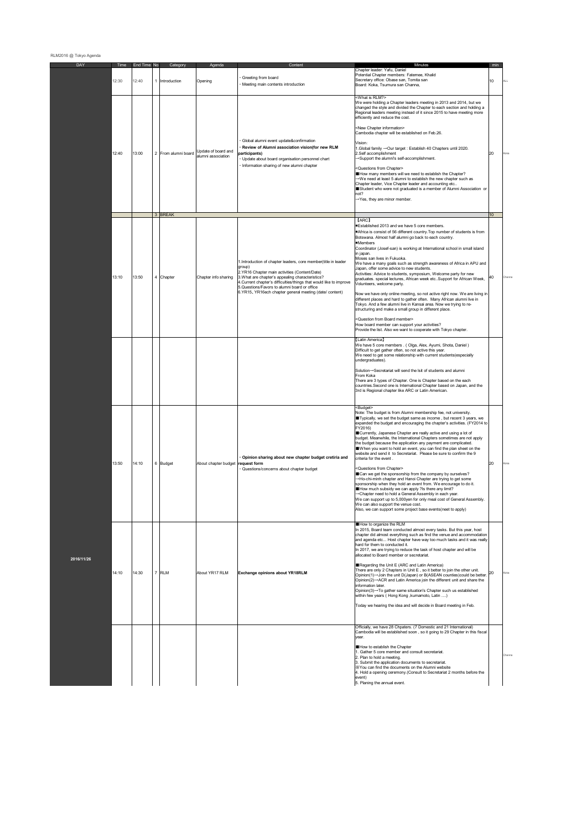| DAY        | Time<br>12:30 | End Time<br>12:40 | <b>No</b> | Category<br>1 Introduction | Agenda<br>Opening                         | Content<br>Greeting from board<br>Meeting main contents introduction                                                                                                                                                                                                                                                                                             | Minutes<br>Chapter leader: Yafu, Daniel<br>Potential Chapter members: Fatemee, Khalid<br>Secretary office: Obase san, Tomita san<br>Board: Koka, Tsumura san Channa,                                                                                                                                                                                                                                                                                                                                                                                                                                                                                                                                                                                                                                                                                                                                                                                                                                                                                                                                                                                                                                             | min<br>10 |       |
|------------|---------------|-------------------|-----------|----------------------------|-------------------------------------------|------------------------------------------------------------------------------------------------------------------------------------------------------------------------------------------------------------------------------------------------------------------------------------------------------------------------------------------------------------------|------------------------------------------------------------------------------------------------------------------------------------------------------------------------------------------------------------------------------------------------------------------------------------------------------------------------------------------------------------------------------------------------------------------------------------------------------------------------------------------------------------------------------------------------------------------------------------------------------------------------------------------------------------------------------------------------------------------------------------------------------------------------------------------------------------------------------------------------------------------------------------------------------------------------------------------------------------------------------------------------------------------------------------------------------------------------------------------------------------------------------------------------------------------------------------------------------------------|-----------|-------|
|            | 12:40         | 13:00             |           | 2 From alumni board        | Update of board and<br>alumni association | Global alumni event update&confirmation<br>Review of Alumni association vision(for new RLM<br>participants)<br>Update about board organisation personnel chart<br>Information sharing of new alumni chapter                                                                                                                                                      | <what is="" rlm?=""><br/>We were holding a Chapter leaders meeting in 2013 and 2014, but we<br/>changed the style and divided the Chapter to each section and holding a<br/>Regional leaders meeting instead of it since 2015 to have meeting more<br/>efficiently and reduce the cost.<br/><new chapter="" information=""><br/>Cambodia chapter will be established on Feb.26.<br/>Vision:<br/>1. Global family → Our target : Establish 40 Chapters until 2020.<br/>2.Self accomplishment<br/>Support the alumni's self-accomplishment.<br/><questions chapter="" from=""><br/>How many members will we need to establish the Chapter?<br/>→We need at least 5 alumni to establish the new chapter such as<br/>Chapter leader, Vice Chapter leader and accounting etc<br/>Student who were not graduated is a member of Alumni Association or<br/>not?<br/>→ Yes, they are minor member.</questions></new></what>                                                                                                                                                                                                                                                                                              | 20        |       |
|            | 13:10         | 13:50             |           | 3 BREAK<br>4 Chapter       | Chapter info sharing                      | 1. Introduction of chapter leaders, core member(title in leader<br>group)<br>2.YR16 Chapter main activities (Content/Date)<br>3. What are chapter's appealing characteristics?<br>4. Current chapter's difficulties/things that would like to improve<br>5.Questions/Favors to alumni board or office<br>6.YR15, YR16ech chapter general meeting (date/ content) | [ARC]<br>Established 2013 and we have 5 core members.<br>Africa is consist of 56 different country. Top number of students is from<br>Botswana. Almost half alumni go back to each country.<br><b>■Members</b><br>Coordinator (Josef-san) is working at International school in small island<br>in japan.<br>Moses san lives in Fukuoka.<br>We have a many goals such as strength awareness of Africa in APU and<br>Japan, offer some advice to new students.<br>Activities: Advice to students, symposium, Welcome party for new<br>graduates. special lectures, African week etcSupport for African Week,<br>Volunteers, welcome party.<br>Now we have only online meeting, so not active right now. We are living in<br>different places and hard to gather often. Many African alumni live in<br>Tokyo. And a few alumni live in Kansai area. Now we trying to re-<br>structuring and make a small group in different place.<br><question board="" from="" member=""><br/>How board member can support your activities?<br/>Provide the list. Also we want to cooperate with Tokyo chapter.</question>                                                                                                       | 10<br>40  |       |
|            |               |                   |           |                            |                                           |                                                                                                                                                                                                                                                                                                                                                                  | [Latin America]<br>We have 5 core members . ( Olga, Alex, Ayumi, Shota, Daniel )<br>Difficult to get gather often, so not active this year.<br>We need to get some relationship with current students(especially<br>undergraduates).<br>Solution-Secretariat will send the Isit of students and alumni<br>From Koka<br>There are 3 types of Chapter. One is Chapter based on the each<br>countries. Second one is International Chapter based on Japan, and the<br>3rd is Regional chapter like ARC or Latin American.                                                                                                                                                                                                                                                                                                                                                                                                                                                                                                                                                                                                                                                                                           |           |       |
|            | 13:50         | 14:10             |           | 6 Budget                   | About chapter budget                      | Opinion sharing about new chapter budget cretiria and<br>request form<br>Questions/concerns about chapter budget                                                                                                                                                                                                                                                 | <budget><br/>Note: The budget is from Alumni membership fee, not university.<br/>Typically, we set the budget same as income, but recent 3 years, we<br/>expanded the budget and encouraging the chapter's activities. (FY2014 to<br/>FY2016)<br/>Currently, Japanese Chapter are really active and using a lot of<br/>budget. Meanwhile, the International Chapters sometimes are not apply<br/>the budget because the application any payment are complicated.<br/>When you want to hold an event, you can find the plan sheet on the<br/>website and send it to Secretariat. Please be sure to confirm the 9<br/>criteria for the event.<br/><questions chapter="" from=""><br/>Can we get the sponsorship from the company by ourselves?<br/>-Ho-chi-minh chapter and Hanoi Chapter are trying to get some<br/>sponsorship when they hold an event from. We encourage to do it.<br/>How much subsidy we can apply ?Is there any limit?<br/>-&gt;Chapter need to hold a General Assembly in each year.<br/>We can support up to 5,000yen for only meal cost of General Assembly.<br/>Ve can also support the venue cost<br/>Also, we can support some project base events(neet to apply)</questions></budget> | 20        |       |
| 2016/11/26 | 14:10         | 14:30             |           | 7 RLM                      | About YR17 RLM                            | Exchange opinions about YR18RLM                                                                                                                                                                                                                                                                                                                                  | How to organize the RLM<br>In 2015, Board team conducted almost every tasks. But this year, host<br>chapter did almost everything such as find the venue and accommodation<br>and agenda etc Host chapter have way too much tasks and it was really<br>hard for them to conducted it.<br>In 2017, we are trying to reduce the task of host chapter and will be<br>allocated to Board member or secretariat.<br>Regarding the Unit E (ARC and Latin America)<br>There are only 2 Chapters in Unit E, so it better to join the other unit.<br>Opinion(1)-Join the unit D(Japan) or B(ASEAN counties)could be better.<br>Opinion(2)→ACR and Latin America join the different unit and share the<br>information later.<br>Opinion(3)→To gather same situation's Chapter such us established<br>within few years ( Hong Kong , kumamoto, Latin )<br>Today we hearing the idea and will decide in Board meeting in Feb.                                                                                                                                                                                                                                                                                                | 20        | oka   |
|            |               |                   |           |                            |                                           |                                                                                                                                                                                                                                                                                                                                                                  | Officially, we have 28 Chpaters. (7 Domestic and 21 International)<br>Cambodia will be established soon, so it going to 29 Chapter in this fiscal<br>vear.<br>How to establish the Chapter<br>1. Gather 5 core member and consult secretariat.<br>2. Plan to hold a meeting.<br>3. Submit the application documents to secretariat.<br>XYou can find the documents on the Alumni website<br>4. Hold a opening ceremony.(Consult to Secretariat 2 months before the<br>event)<br>5. Planing the annual event.                                                                                                                                                                                                                                                                                                                                                                                                                                                                                                                                                                                                                                                                                                     |           | hanne |